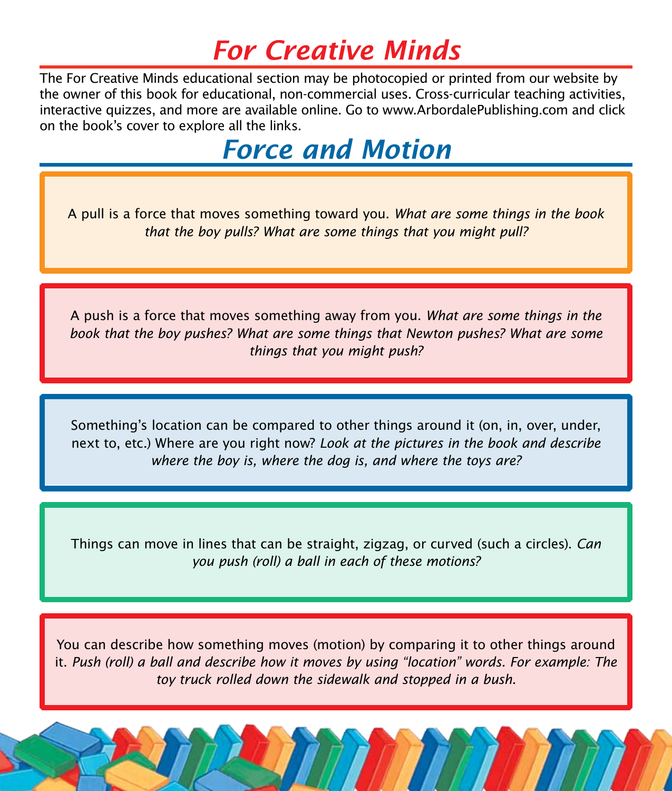## *For Creative Minds*

The For Creative Minds educational section may be photocopied or printed from our website by the owner of this book for educational, non-commercial uses. Cross-curricular teaching activities, interactive quizzes, and more are available online. Go to www.ArbordalePublishing.com and click on the book's cover to explore all the links.

#### *Force and Motion*

A pull is a force that moves something toward you. *What are some things in the book that the boy pulls? What are some things that you might pull?*

A push is a force that moves something away from you. *What are some things in the book that the boy pushes? What are some things that Newton pushes? What are some things that you might push?*

Something's location can be compared to other things around it (on, in, over, under, next to, etc.) Where are you right now? *Look at the pictures in the book and describe where the boy is, where the dog is, and where the toys are?*

Things can move in lines that can be straight, zigzag, or curved (such a circles). *Can you push (roll) a ball in each of these motions?*

You can describe how something moves (motion) by comparing it to other things around it. *Push (roll) a ball and describe how it moves by using "location" words. For example: The toy truck rolled down the sidewalk and stopped in a bush.*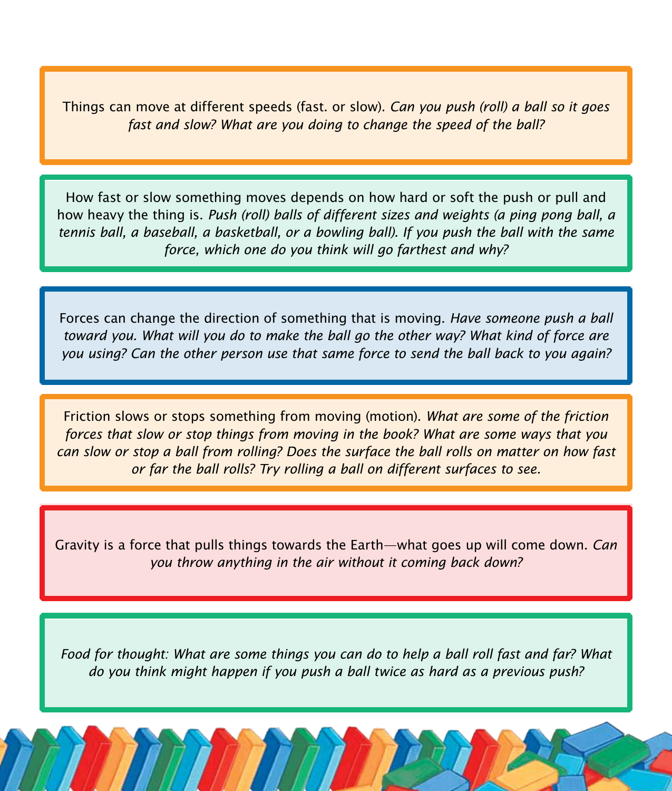Things can move at different speeds (fast. or slow). *Can you push (roll) a ball so it goes fast and slow? What are you doing to change the speed of the ball?*

How fast or slow something moves depends on how hard or soft the push or pull and how heavy the thing is. *Push (roll) balls of different sizes and weights (a ping pong ball, a tennis ball, a baseball, a basketball, or a bowling ball). If you push the ball with the same force, which one do you think will go farthest and why?*

Forces can change the direction of something that is moving. *Have someone push a ball toward you. What will you do to make the ball go the other way? What kind of force are you using? Can the other person use that same force to send the ball back to you again?*

Friction slows or stops something from moving (motion). *What are some of the friction forces that slow or stop things from moving in the book? What are some ways that you can slow or stop a ball from rolling? Does the surface the ball rolls on matter on how fast or far the ball rolls? Try rolling a ball on different surfaces to see.*

Gravity is a force that pulls things towards the Earth—what goes up will come down. *Can you throw anything in the air without it coming back down?*

*Food for thought: What are some things you can do to help a ball roll fast and far? What do you think might happen if you push a ball twice as hard as a previous push?*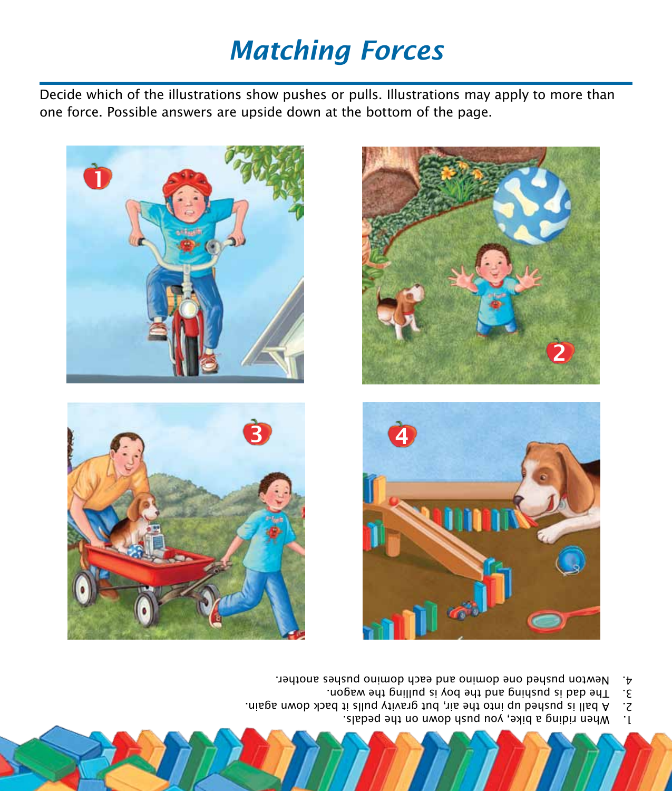- When riding a bike, you push down on the pedals. 1.
- $\overline{S}$ . A ball is pushed up into the air, but gravity pulls it back down again.
- 
- The dad is pushing and the boy is pulling the wagon. 3.
- Newton pushed one domino and each domino pushes another. 4.
- 







Decide which of the illustrations show pushes or pulls. Illustrations may apply to more than one force. Possible answers are upside down at the bottom of the page.

## *Matching Forces*